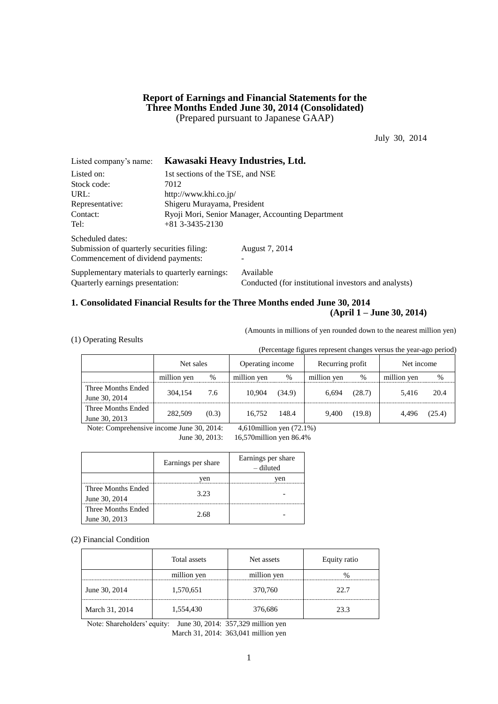## **Report of Earnings and Financial Statements for the Three Months Ended June 30, 2014 (Consolidated)** (Prepared pursuant to Japanese GAAP)

July 30, 2014

| Listed company's name:                         | Kawasaki Heavy Industries, Ltd.                   |                                                      |  |  |  |  |  |
|------------------------------------------------|---------------------------------------------------|------------------------------------------------------|--|--|--|--|--|
| Listed on:                                     |                                                   | 1st sections of the TSE, and NSE                     |  |  |  |  |  |
| Stock code:                                    | 7012                                              |                                                      |  |  |  |  |  |
| URL:                                           | http://www.khi.co.jp/                             |                                                      |  |  |  |  |  |
| Representative:                                | Shigeru Murayama, President                       |                                                      |  |  |  |  |  |
| Contact:                                       | Ryoji Mori, Senior Manager, Accounting Department |                                                      |  |  |  |  |  |
| Tel:                                           | $+81$ 3-3435-2130                                 |                                                      |  |  |  |  |  |
| Scheduled dates:                               |                                                   |                                                      |  |  |  |  |  |
| Submission of quarterly securities filing:     |                                                   | August 7, 2014                                       |  |  |  |  |  |
| Commencement of dividend payments:             |                                                   |                                                      |  |  |  |  |  |
| Supplementary materials to quarterly earnings: |                                                   | Available                                            |  |  |  |  |  |
| Ouarterly earnings presentation:               |                                                   | Conducted (for institutional investors and analysts) |  |  |  |  |  |

## **1. Consolidated Financial Results for the Three Months ended June 30, 2014 (April 1 – June 30, 2014)**

(Amounts in millions of yen rounded down to the nearest million yen)

(1) Operating Results

(Percentage figures represent changes versus the year-ago period)

|                                     | Net sales    |         | Operating income |        | Recurring profit |        | Net income  |        |
|-------------------------------------|--------------|---------|------------------|--------|------------------|--------|-------------|--------|
|                                     | million yen  | %       | million ven      | $\%$   | million yen      | %      | million yen | $\%$   |
| Three Months Ended<br>June 30, 2014 | 304.154      | 7.6     | 10.904           | (34.9) | 6.694            | (28.7) | 5.416       | 20.4   |
| Three Months Ended<br>June 30, 2013 | 282,509      | (0.3)   | 16.752           | 148.4  | 9.400            | (19.8) | 4.496       | (25.4) |
| $\mathbf{r}$ $\alpha$               | $\mathbf{r}$ | 20.2011 | $1.710$          | (1)    |                  |        |             |        |

Note: Comprehensive income June 30, 2014: 4,610million yen (72.1%)

June 30, 2013: 16,570million yen 86.4%

|                                     | Earnings per share | Earnings per share<br>- diluted |
|-------------------------------------|--------------------|---------------------------------|
|                                     | ven                | ven                             |
| Three Months Ended<br>June 30, 2014 | 3.23               |                                 |
| Three Months Ended<br>June 30, 2013 | 2.68               |                                 |

(2) Financial Condition

|                | Total assets | Net assets  | Equity ratio |  |  |
|----------------|--------------|-------------|--------------|--|--|
|                | million yen  | million yen |              |  |  |
| June 30, 2014  | 1,570,651    | 370,760     | 22.7         |  |  |
| March 31, 2014 | 1,554,430    | 376,686     | 23.3         |  |  |

Note: Shareholders' equity: June 30, 2014: 357,329 million yen March 31, 2014: 363,041 million yen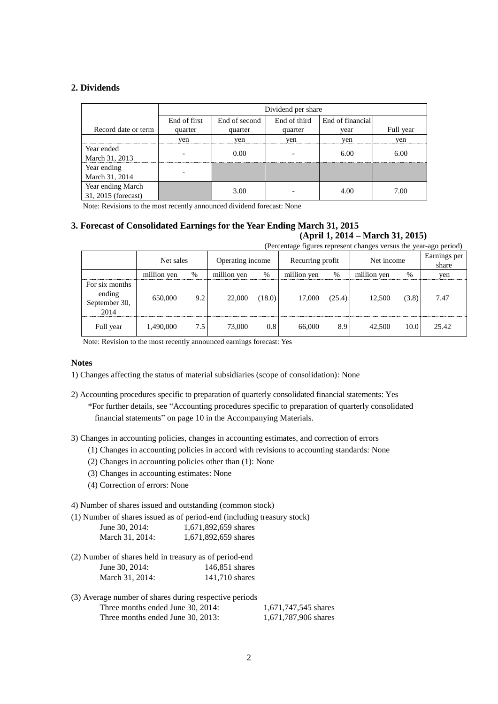## **2. Dividends**

|                     |              | Dividend per share |              |                  |           |  |  |  |  |
|---------------------|--------------|--------------------|--------------|------------------|-----------|--|--|--|--|
|                     | End of first | End of second      | End of third | End of financial |           |  |  |  |  |
| Record date or term | quarter      | quarter            | quarter      | vear             | Full year |  |  |  |  |
|                     | yen          | yen                | yen          | yen              | yen       |  |  |  |  |
| Year ended          |              | 0.00               |              | 6.00             | 6.00      |  |  |  |  |
| March 31, 2013      |              |                    |              |                  |           |  |  |  |  |
| Year ending         |              |                    |              |                  |           |  |  |  |  |
| March 31, 2014      |              |                    |              |                  |           |  |  |  |  |
| Year ending March   |              | 3.00               |              | 4.00             | 7.00      |  |  |  |  |
| 31, 2015 (forecast) |              |                    |              |                  |           |  |  |  |  |

Note: Revisions to the most recently announced dividend forecast: None

### **3. Forecast of Consolidated Earnings for the Year Ending March 31, 2015 (April 1, 2014 – March 31, 2015)**

(Percentage figures represent changes versus the year-ago period)

|                                                   | $\mathbf{r}$ are always regards represent enumper versus the year up period, |     |                  |        |                  |        |             |       |                       |
|---------------------------------------------------|------------------------------------------------------------------------------|-----|------------------|--------|------------------|--------|-------------|-------|-----------------------|
|                                                   | Net sales                                                                    |     | Operating income |        | Recurring profit |        | Net income  |       | Earnings per<br>share |
|                                                   | million yen                                                                  | %   | million yen      | %      | million yen      | $\%$   | million yen | $\%$  | yen                   |
| For six months<br>ending<br>September 30,<br>2014 | 650,000                                                                      | 9.2 | 22,000           | (18.0) | 17.000           | (25.4) | 12.500      | (3.8) | 7.47                  |
| Full year                                         | 1,490,000                                                                    | 7.5 | 73,000           | 0.8    | 66,000           | 8.9    | 42,500      | 10.0  | 25.42                 |

Note: Revision to the most recently announced earnings forecast: Yes

## **Notes**

1) Changes affecting the status of material subsidiaries (scope of consolidation): None

2) Accounting procedures specific to preparation of quarterly consolidated financial statements: Yes \*For further details, see "Accounting procedures specific to preparation of quarterly consolidated financial statements" on page 10 in the Accompanying Materials.

3) Changes in accounting policies, changes in accounting estimates, and correction of errors

- (1) Changes in accounting policies in accord with revisions to accounting standards: None
- (2) Changes in accounting policies other than (1): None
- (3) Changes in accounting estimates: None
- (4) Correction of errors: None

4) Number of shares issued and outstanding (common stock)

(1) Number of shares issued as of period-end (including treasury stock)

| June 30, 2014:  | 1,671,892,659 shares |
|-----------------|----------------------|
| March 31, 2014: | 1,671,892,659 shares |

| (2) Number of shares held in treasury as of period-end |                |
|--------------------------------------------------------|----------------|
| June 30, 2014:                                         | 146,851 shares |
| March 31, 2014:                                        | 141,710 shares |

| (3) Average number of shares during respective periods |                      |
|--------------------------------------------------------|----------------------|
| Three months ended June 30, 2014:                      | 1,671,747,545 shares |
| Three months ended June 30, 2013:                      | 1,671,787,906 shares |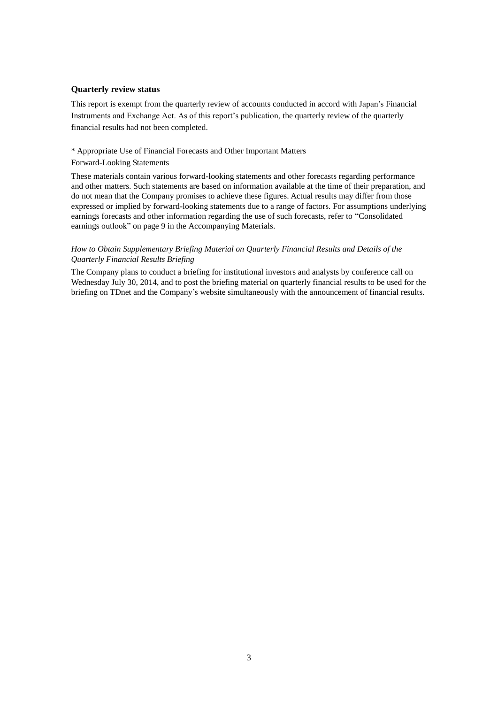### **Quarterly review status**

This report is exempt from the quarterly review of accounts conducted in accord with Japan's Financial Instruments and Exchange Act. As of this report's publication, the quarterly review of the quarterly financial results had not been completed.

### \* Appropriate Use of Financial Forecasts and Other Important Matters

### Forward-Looking Statements

These materials contain various forward-looking statements and other forecasts regarding performance and other matters. Such statements are based on information available at the time of their preparation, and do not mean that the Company promises to achieve these figures. Actual results may differ from those expressed or implied by forward-looking statements due to a range of factors. For assumptions underlying earnings forecasts and other information regarding the use of such forecasts, refer to "Consolidated earnings outlook" on page 9 in the Accompanying Materials.

### *How to Obtain Supplementary Briefing Material on Quarterly Financial Results and Details of the Quarterly Financial Results Briefing*

The Company plans to conduct a briefing for institutional investors and analysts by conference call on Wednesday July 30, 2014, and to post the briefing material on quarterly financial results to be used for the briefing on TDnet and the Company's website simultaneously with the announcement of financial results.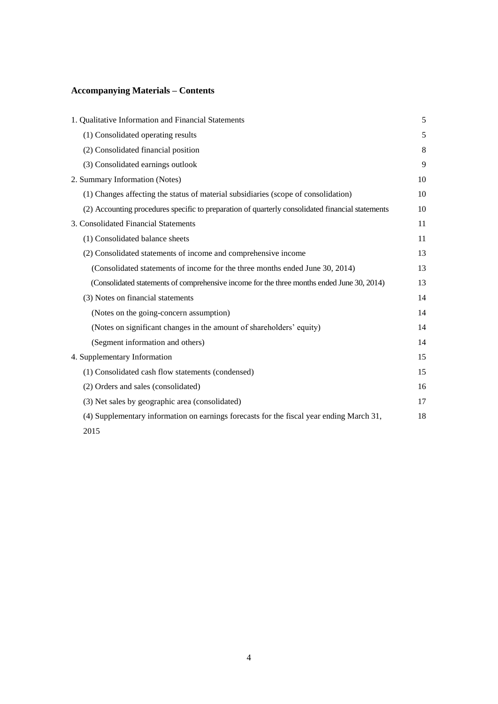# **Accompanying Materials – Contents**

| 1. Qualitative Information and Financial Statements                                              | 5  |
|--------------------------------------------------------------------------------------------------|----|
| (1) Consolidated operating results                                                               | 5  |
| (2) Consolidated financial position                                                              | 8  |
| (3) Consolidated earnings outlook                                                                | 9  |
| 2. Summary Information (Notes)                                                                   | 10 |
| (1) Changes affecting the status of material subsidiaries (scope of consolidation)               | 10 |
| (2) Accounting procedures specific to preparation of quarterly consolidated financial statements | 10 |
| 3. Consolidated Financial Statements                                                             | 11 |
| (1) Consolidated balance sheets                                                                  | 11 |
| (2) Consolidated statements of income and comprehensive income                                   | 13 |
| (Consolidated statements of income for the three months ended June 30, 2014)                     | 13 |
| (Consolidated statements of comprehensive income for the three months ended June 30, 2014)       | 13 |
| (3) Notes on financial statements                                                                | 14 |
| (Notes on the going-concern assumption)                                                          | 14 |
| (Notes on significant changes in the amount of shareholders' equity)                             | 14 |
| (Segment information and others)                                                                 | 14 |
| 4. Supplementary Information                                                                     | 15 |
| (1) Consolidated cash flow statements (condensed)                                                | 15 |
| (2) Orders and sales (consolidated)                                                              | 16 |
| (3) Net sales by geographic area (consolidated)                                                  | 17 |
| (4) Supplementary information on earnings forecasts for the fiscal year ending March 31,         | 18 |
| 2015                                                                                             |    |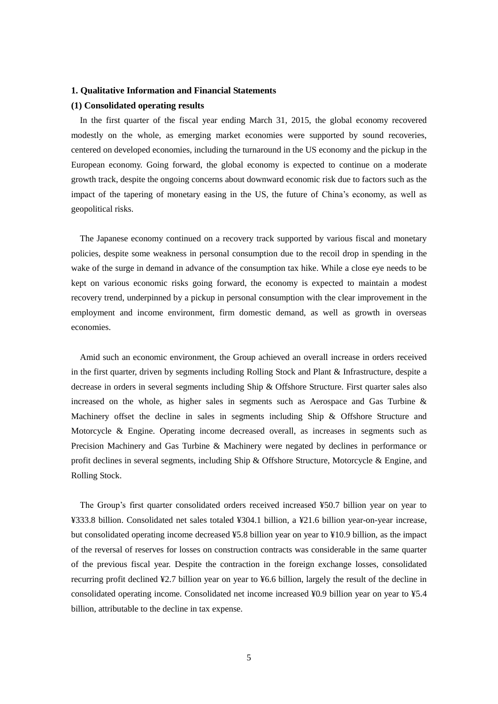### **1. Qualitative Information and Financial Statements**

#### **(1) Consolidated operating results**

In the first quarter of the fiscal year ending March 31, 2015, the global economy recovered modestly on the whole, as emerging market economies were supported by sound recoveries, centered on developed economies, including the turnaround in the US economy and the pickup in the European economy. Going forward, the global economy is expected to continue on a moderate growth track, despite the ongoing concerns about downward economic risk due to factors such as the impact of the tapering of monetary easing in the US, the future of China's economy, as well as geopolitical risks.

The Japanese economy continued on a recovery track supported by various fiscal and monetary policies, despite some weakness in personal consumption due to the recoil drop in spending in the wake of the surge in demand in advance of the consumption tax hike. While a close eye needs to be kept on various economic risks going forward, the economy is expected to maintain a modest recovery trend, underpinned by a pickup in personal consumption with the clear improvement in the employment and income environment, firm domestic demand, as well as growth in overseas economies.

Amid such an economic environment, the Group achieved an overall increase in orders received in the first quarter, driven by segments including Rolling Stock and Plant & Infrastructure, despite a decrease in orders in several segments including Ship & Offshore Structure. First quarter sales also increased on the whole, as higher sales in segments such as Aerospace and Gas Turbine & Machinery offset the decline in sales in segments including Ship & Offshore Structure and Motorcycle & Engine. Operating income decreased overall, as increases in segments such as Precision Machinery and Gas Turbine & Machinery were negated by declines in performance or profit declines in several segments, including Ship & Offshore Structure, Motorcycle & Engine, and Rolling Stock.

The Group's first quarter consolidated orders received increased ¥50.7 billion year on year to ¥333.8 billion. Consolidated net sales totaled ¥304.1 billion, a ¥21.6 billion year-on-year increase, but consolidated operating income decreased ¥5.8 billion year on year to ¥10.9 billion, as the impact of the reversal of reserves for losses on construction contracts was considerable in the same quarter of the previous fiscal year. Despite the contraction in the foreign exchange losses, consolidated recurring profit declined ¥2.7 billion year on year to ¥6.6 billion, largely the result of the decline in consolidated operating income. Consolidated net income increased ¥0.9 billion year on year to ¥5.4 billion, attributable to the decline in tax expense.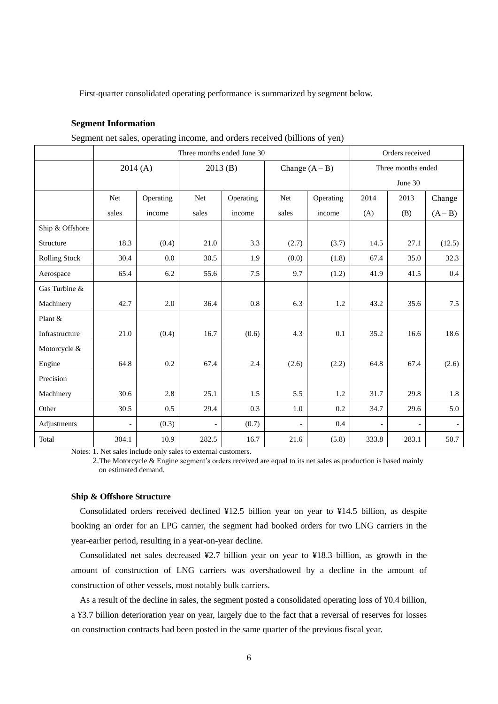First-quarter consolidated operating performance is summarized by segment below.

## **Segment Information**

|  | Segment net sales, operating income, and orders received (billions of yen) |  |  |  |
|--|----------------------------------------------------------------------------|--|--|--|
|  |                                                                            |  |  |  |

|                      | Three months ended June 30 |           |                |           |                          |                  | Orders received |                          |           |
|----------------------|----------------------------|-----------|----------------|-----------|--------------------------|------------------|-----------------|--------------------------|-----------|
|                      | 2014(A)                    |           |                | 2013(B)   |                          | Change $(A - B)$ |                 | Three months ended       |           |
|                      |                            |           |                |           |                          |                  |                 | June 30                  |           |
|                      | Net                        | Operating | <b>Net</b>     | Operating | <b>Net</b>               | Operating        | 2014            | 2013                     | Change    |
|                      | sales                      | income    | sales          | income    | sales                    | income           | (A)             | (B)                      | $(A - B)$ |
| Ship & Offshore      |                            |           |                |           |                          |                  |                 |                          |           |
| Structure            | 18.3                       | (0.4)     | 21.0           | 3.3       | (2.7)                    | (3.7)            | 14.5            | 27.1                     | (12.5)    |
| <b>Rolling Stock</b> | 30.4                       | 0.0       | 30.5           | 1.9       | (0.0)                    | (1.8)            | 67.4            | 35.0                     | 32.3      |
| Aerospace            | 65.4                       | 6.2       | 55.6           | 7.5       | 9.7                      | (1.2)            | 41.9            | 41.5                     | 0.4       |
| Gas Turbine &        |                            |           |                |           |                          |                  |                 |                          |           |
| Machinery            | 42.7                       | 2.0       | 36.4           | 0.8       | 6.3                      | 1.2              | 43.2            | 35.6                     | 7.5       |
| Plant &              |                            |           |                |           |                          |                  |                 |                          |           |
| Infrastructure       | 21.0                       | (0.4)     | 16.7           | (0.6)     | 4.3                      | 0.1              | 35.2            | 16.6                     | 18.6      |
| Motorcycle &         |                            |           |                |           |                          |                  |                 |                          |           |
| Engine               | 64.8                       | 0.2       | 67.4           | 2.4       | (2.6)                    | (2.2)            | 64.8            | 67.4                     | (2.6)     |
| Precision            |                            |           |                |           |                          |                  |                 |                          |           |
| Machinery            | 30.6                       | 2.8       | 25.1           | 1.5       | 5.5                      | 1.2              | 31.7            | 29.8                     | 1.8       |
| Other                | 30.5                       | 0.5       | 29.4           | 0.3       | 1.0                      | 0.2              | 34.7            | 29.6                     | 5.0       |
| Adjustments          | $\overline{\phantom{a}}$   | (0.3)     | $\overline{a}$ | (0.7)     | $\overline{\phantom{a}}$ | 0.4              | $\overline{a}$  | $\overline{\phantom{a}}$ |           |
| Total                | 304.1                      | 10.9      | 282.5          | 16.7      | 21.6                     | (5.8)            | 333.8           | 283.1                    | 50.7      |

Notes: 1. Net sales include only sales to external customers.

2.The Motorcycle & Engine segment's orders received are equal to its net sales as production is based mainly on estimated demand.

#### **Ship & Offshore Structure**

Consolidated orders received declined ¥12.5 billion year on year to ¥14.5 billion, as despite booking an order for an LPG carrier, the segment had booked orders for two LNG carriers in the year-earlier period, resulting in a year-on-year decline.

Consolidated net sales decreased ¥2.7 billion year on year to ¥18.3 billion, as growth in the amount of construction of LNG carriers was overshadowed by a decline in the amount of construction of other vessels, most notably bulk carriers.

As a result of the decline in sales, the segment posted a consolidated operating loss of ¥0.4 billion, a ¥3.7 billion deterioration year on year, largely due to the fact that a reversal of reserves for losses on construction contracts had been posted in the same quarter of the previous fiscal year.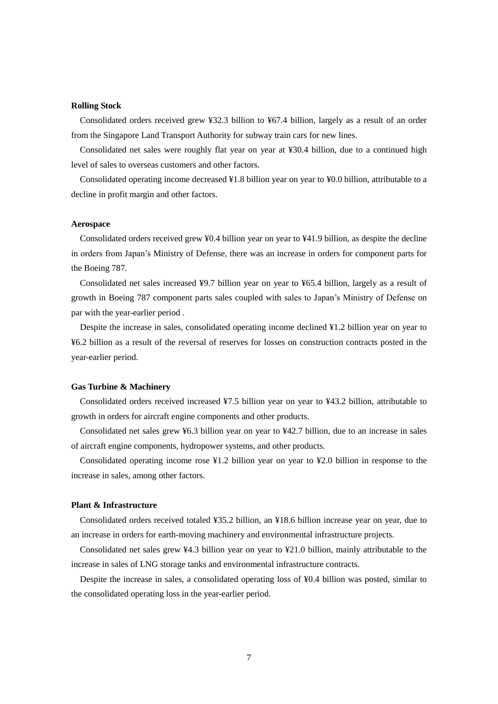#### **Rolling Stock**

Consolidated orders received grew ¥32.3 billion to ¥67.4 billion, largely as a result of an order from the Singapore Land Transport Authority for subway train cars for new lines.

Consolidated net sales were roughly flat year on year at ¥30.4 billion, due to a continued high level of sales to overseas customers and other factors.

Consolidated operating income decreased ¥1.8 billion year on year to ¥0.0 billion, attributable to a decline in profit margin and other factors.

#### **Aerospace**

Consolidated orders received grew ¥0.4 billion year on year to ¥41.9 billion, as despite the decline in orders from Japan's Ministry of Defense, there was an increase in orders for component parts for the Boeing 787.

Consolidated net sales increased ¥9.7 billion year on year to ¥65.4 billion, largely as a result of growth in Boeing 787 component parts sales coupled with sales to Japan's Ministry of Defense on par with the year-earlier period .

Despite the increase in sales, consolidated operating income declined ¥1.2 billion year on year to ¥6.2 billion as a result of the reversal of reserves for losses on construction contracts posted in the year-earlier period.

#### **Gas Turbine & Machinery**

Consolidated orders received increased ¥7.5 billion year on year to ¥43.2 billion, attributable to growth in orders for aircraft engine components and other products.

Consolidated net sales grew ¥6.3 billion year on year to ¥42.7 billion, due to an increase in sales of aircraft engine components, hydropower systems, and other products.

Consolidated operating income rose ¥1.2 billion year on year to ¥2.0 billion in response to the increase in sales, among other factors.

### **Plant & Infrastructure**

Consolidated orders received totaled ¥35.2 billion, an ¥18.6 billion increase year on year, due to an increase in orders for earth-moving machinery and environmental infrastructure projects.

Consolidated net sales grew ¥4.3 billion year on year to ¥21.0 billion, mainly attributable to the increase in sales of LNG storage tanks and environmental infrastructure contracts.

Despite the increase in sales, a consolidated operating loss of ¥0.4 billion was posted, similar to the consolidated operating loss in the year-earlier period.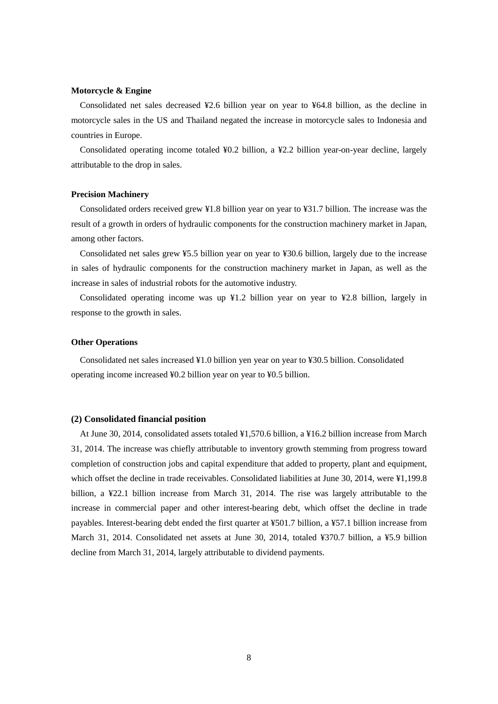### **Motorcycle & Engine**

Consolidated net sales decreased ¥2.6 billion year on year to ¥64.8 billion, as the decline in motorcycle sales in the US and Thailand negated the increase in motorcycle sales to Indonesia and countries in Europe.

Consolidated operating income totaled ¥0.2 billion, a ¥2.2 billion year-on-year decline, largely attributable to the drop in sales.

#### **Precision Machinery**

Consolidated orders received grew ¥1.8 billion year on year to ¥31.7 billion. The increase was the result of a growth in orders of hydraulic components for the construction machinery market in Japan, among other factors.

Consolidated net sales grew ¥5.5 billion year on year to ¥30.6 billion, largely due to the increase in sales of hydraulic components for the construction machinery market in Japan, as well as the increase in sales of industrial robots for the automotive industry.

Consolidated operating income was up  $\frac{1}{2}1.2$  billion year on year to  $\frac{1}{2}2.8$  billion, largely in response to the growth in sales.

### **Other Operations**

Consolidated net sales increased ¥1.0 billion yen year on year to ¥30.5 billion. Consolidated operating income increased ¥0.2 billion year on year to ¥0.5 billion.

#### **(2) Consolidated financial position**

At June 30, 2014, consolidated assets totaled ¥1,570.6 billion, a ¥16.2 billion increase from March 31, 2014. The increase was chiefly attributable to inventory growth stemming from progress toward completion of construction jobs and capital expenditure that added to property, plant and equipment, which offset the decline in trade receivables. Consolidated liabilities at June 30, 2014, were ¥1,199.8 billion, a ¥22.1 billion increase from March 31, 2014. The rise was largely attributable to the increase in commercial paper and other interest-bearing debt, which offset the decline in trade payables. Interest-bearing debt ended the first quarter at ¥501.7 billion, a ¥57.1 billion increase from March 31, 2014. Consolidated net assets at June 30, 2014, totaled ¥370.7 billion, a ¥5.9 billion decline from March 31, 2014, largely attributable to dividend payments.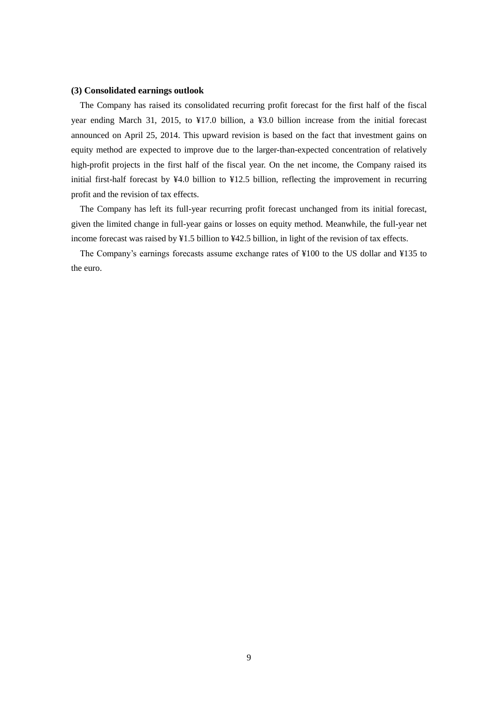### **(3) Consolidated earnings outlook**

The Company has raised its consolidated recurring profit forecast for the first half of the fiscal year ending March 31, 2015, to ¥17.0 billion, a ¥3.0 billion increase from the initial forecast announced on April 25, 2014. This upward revision is based on the fact that investment gains on equity method are expected to improve due to the larger-than-expected concentration of relatively high-profit projects in the first half of the fiscal year. On the net income, the Company raised its initial first-half forecast by ¥4.0 billion to ¥12.5 billion, reflecting the improvement in recurring profit and the revision of tax effects.

The Company has left its full-year recurring profit forecast unchanged from its initial forecast, given the limited change in full-year gains or losses on equity method. Meanwhile, the full-year net income forecast was raised by ¥1.5 billion to ¥42.5 billion, in light of the revision of tax effects.

The Company's earnings forecasts assume exchange rates of ¥100 to the US dollar and ¥135 to the euro.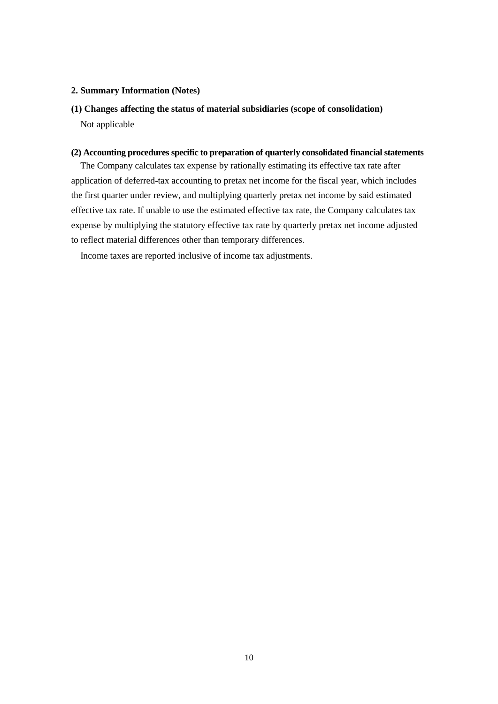### **2. Summary Information (Notes)**

# **(1) Changes affecting the status of material subsidiaries (scope of consolidation)** Not applicable

## **(2) Accounting procedures specific to preparation of quarterly consolidated financial statements**

The Company calculates tax expense by rationally estimating its effective tax rate after application of deferred-tax accounting to pretax net income for the fiscal year, which includes the first quarter under review, and multiplying quarterly pretax net income by said estimated effective tax rate. If unable to use the estimated effective tax rate, the Company calculates tax expense by multiplying the statutory effective tax rate by quarterly pretax net income adjusted to reflect material differences other than temporary differences.

Income taxes are reported inclusive of income tax adjustments.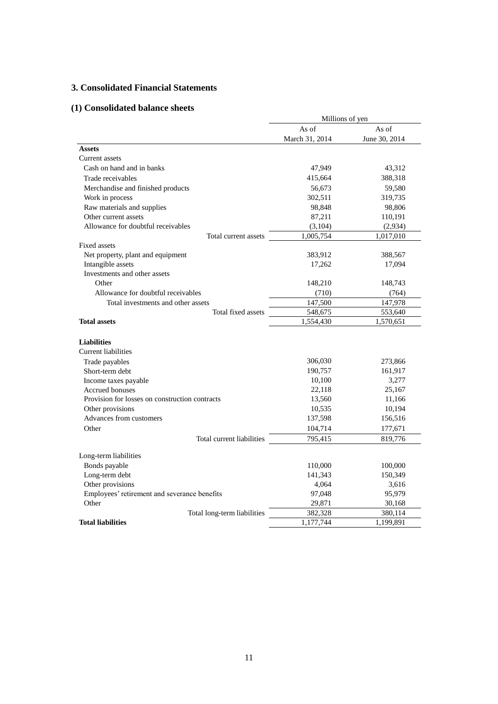# **3. Consolidated Financial Statements**

# **(1) Consolidated balance sheets**

|                                                | Millions of yen |               |  |
|------------------------------------------------|-----------------|---------------|--|
|                                                | As of           | As of         |  |
|                                                | March 31, 2014  | June 30, 2014 |  |
| <b>Assets</b>                                  |                 |               |  |
| Current assets                                 |                 |               |  |
| Cash on hand and in banks                      | 47,949          | 43,312        |  |
| Trade receivables                              | 415,664         | 388,318       |  |
| Merchandise and finished products              | 56,673          | 59,580        |  |
| Work in process                                | 302,511         | 319,735       |  |
| Raw materials and supplies                     | 98,848          | 98,806        |  |
| Other current assets                           | 87,211          | 110,191       |  |
| Allowance for doubtful receivables             | (3, 104)        | (2,934)       |  |
| Total current assets                           | 1,005,754       | 1,017,010     |  |
| Fixed assets                                   |                 |               |  |
| Net property, plant and equipment              | 383,912         | 388,567       |  |
| Intangible assets                              | 17,262          | 17,094        |  |
| Investments and other assets                   |                 |               |  |
| Other                                          | 148,210         | 148,743       |  |
| Allowance for doubtful receivables             | (710)           | (764)         |  |
| Total investments and other assets             | 147,500         | 147,978       |  |
| Total fixed assets                             | 548,675         | 553,640       |  |
| <b>Total assets</b>                            | 1,554,430       | 1,570,651     |  |
|                                                |                 |               |  |
| <b>Liabilities</b>                             |                 |               |  |
| <b>Current liabilities</b>                     |                 |               |  |
| Trade payables                                 | 306,030         | 273,866       |  |
| Short-term debt                                | 190,757         | 161,917       |  |
| Income taxes payable                           | 10,100          | 3,277         |  |
| <b>Accrued bonuses</b>                         | 22,118          | 25,167        |  |
| Provision for losses on construction contracts | 13,560          | 11,166        |  |
| Other provisions                               | 10,535          | 10,194        |  |
| Advances from customers                        | 137,598         | 156,516       |  |
| Other                                          | 104,714         | 177,671       |  |
| Total current liabilities                      | 795,415         | 819,776       |  |
| Long-term liabilities                          |                 |               |  |
| Bonds payable                                  | 110,000         | 100,000       |  |
| Long-term debt                                 | 141,343         | 150,349       |  |
| Other provisions                               | 4,064           | 3,616         |  |
| Employees' retirement and severance benefits   | 97,048          | 95,979        |  |
| Other                                          | 29,871          | 30,168        |  |
| Total long-term liabilities                    | 382,328         | 380,114       |  |
| <b>Total liabilities</b>                       | 1,177,744       | 1,199,891     |  |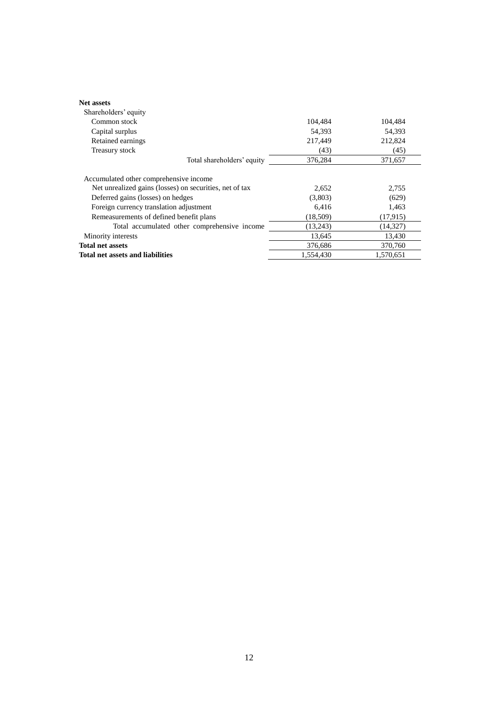| <b>Net assets</b>                                       |           |           |
|---------------------------------------------------------|-----------|-----------|
| Shareholders' equity                                    |           |           |
| Common stock                                            | 104,484   | 104,484   |
| Capital surplus                                         | 54.393    | 54.393    |
| Retained earnings                                       | 217,449   | 212,824   |
| Treasury stock                                          | (43)      | (45)      |
| Total shareholders' equity                              | 376,284   | 371,657   |
| Net unrealized gains (losses) on securities, net of tax | 2,652     | 2,755     |
| Deferred gains (losses) on hedges                       | (3,803)   | (629)     |
| Foreign currency translation adjustment                 | 6,416     | 1,463     |
| Remeasurements of defined benefit plans                 | (18,509)  | (17,915)  |
| Total accumulated other comprehensive income            | (13,243)  | (14, 327) |
| Minority interests                                      | 13,645    | 13,430    |
| <b>Total net assets</b>                                 | 376,686   | 370,760   |
| <b>Total net assets and liabilities</b>                 | 1,554,430 | 1.570.651 |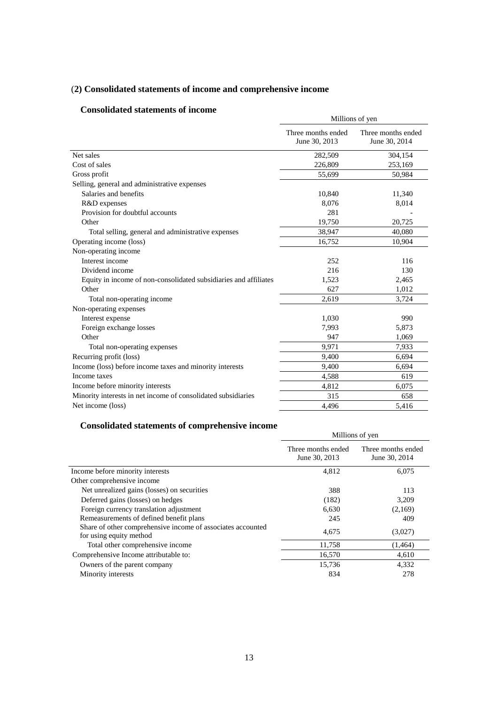# (**2) Consolidated statements of income and comprehensive income**

# **Consolidated statements of income**

| Consondated statements of income                                 | Millions of yen                     |                                     |  |  |
|------------------------------------------------------------------|-------------------------------------|-------------------------------------|--|--|
|                                                                  | Three months ended<br>June 30, 2013 | Three months ended<br>June 30, 2014 |  |  |
| Net sales                                                        | 282,509                             | 304,154                             |  |  |
| Cost of sales                                                    | 226,809                             | 253,169                             |  |  |
| Gross profit                                                     | 55,699                              | 50,984                              |  |  |
| Selling, general and administrative expenses                     |                                     |                                     |  |  |
| Salaries and benefits                                            | 10,840                              | 11,340                              |  |  |
| R&D expenses                                                     | 8,076                               | 8,014                               |  |  |
| Provision for doubtful accounts                                  | 281                                 |                                     |  |  |
| Other                                                            | 19,750                              | 20,725                              |  |  |
| Total selling, general and administrative expenses               | 38,947                              | 40,080                              |  |  |
| Operating income (loss)                                          | 16,752                              | 10,904                              |  |  |
| Non-operating income                                             |                                     |                                     |  |  |
| Interest income                                                  | 252                                 | 116                                 |  |  |
| Dividend income                                                  | 216                                 | 130                                 |  |  |
| Equity in income of non-consolidated subsidiaries and affiliates | 1,523                               | 2,465                               |  |  |
| Other                                                            | 627                                 | 1,012                               |  |  |
| Total non-operating income                                       | 2,619                               | 3,724                               |  |  |
| Non-operating expenses                                           |                                     |                                     |  |  |
| Interest expense                                                 | 1,030                               | 990                                 |  |  |
| Foreign exchange losses                                          | 7,993                               | 5,873                               |  |  |
| Other                                                            | 947                                 | 1,069                               |  |  |
| Total non-operating expenses                                     | 9,971                               | 7,933                               |  |  |
| Recurring profit (loss)                                          | 9,400                               | 6,694                               |  |  |
| Income (loss) before income taxes and minority interests         | 9.400                               | 6,694                               |  |  |
| Income taxes                                                     | 4,588                               | 619                                 |  |  |
| Income before minority interests                                 | 4,812                               | 6,075                               |  |  |
| Minority interests in net income of consolidated subsidiaries    | 315                                 | 658                                 |  |  |
| Net income (loss)                                                | 4.496                               | 5,416                               |  |  |

# **Consolidated statements of comprehensive income**

|                                                                                        | Millions of yen                     |                                     |  |  |
|----------------------------------------------------------------------------------------|-------------------------------------|-------------------------------------|--|--|
|                                                                                        | Three months ended<br>June 30, 2013 | Three months ended<br>June 30, 2014 |  |  |
| Income before minority interests                                                       | 4,812                               | 6,075                               |  |  |
| Other comprehensive income                                                             |                                     |                                     |  |  |
| Net unrealized gains (losses) on securities                                            | 388                                 | 113                                 |  |  |
| Deferred gains (losses) on hedges                                                      | (182)                               | 3,209                               |  |  |
| Foreign currency translation adjustment                                                | 6,630                               | (2,169)                             |  |  |
| Remeasurements of defined benefit plans                                                | 245                                 | 409                                 |  |  |
| Share of other comprehensive income of associates accounted<br>for using equity method | 4,675                               | (3,027)                             |  |  |
| Total other comprehensive income                                                       | 11,758                              | (1, 464)                            |  |  |
| Comprehensive Income attributable to:                                                  | 16,570                              | 4,610                               |  |  |
| Owners of the parent company                                                           | 15,736                              | 4,332                               |  |  |
| Minority interests                                                                     | 834                                 | 278                                 |  |  |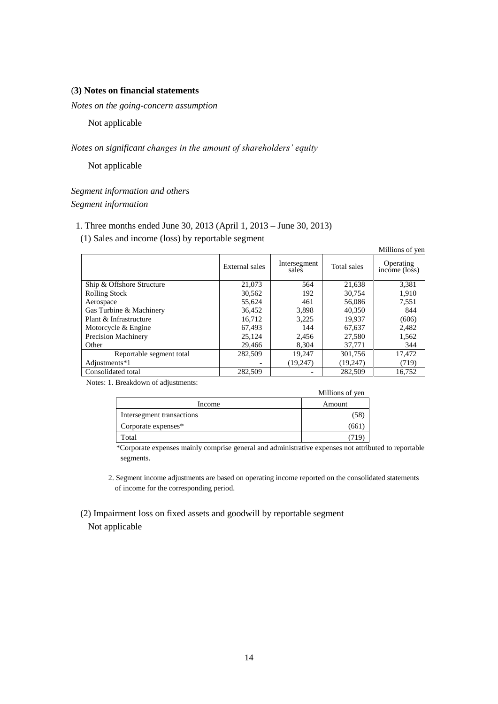### (**3) Notes on financial statements**

*Notes on the going-concern assumption* 

Not applicable

## *Notes on significant changes in the amount of shareholders' equity*

Not applicable

*Segment information and others Segment information*

## 1. Three months ended June 30, 2013 (April 1, 2013 – June 30, 2013)

(1) Sales and income (loss) by reportable segment

|                           |                |                       |             | Millions of yen            |
|---------------------------|----------------|-----------------------|-------------|----------------------------|
|                           | External sales | Intersegment<br>sales | Total sales | Operating<br>income (loss) |
| Ship & Offshore Structure | 21,073         | 564                   | 21,638      | 3,381                      |
| <b>Rolling Stock</b>      | 30,562         | 192                   | 30,754      | 1,910                      |
| Aerospace                 | 55,624         | 461                   | 56,086      | 7,551                      |
| Gas Turbine & Machinery   | 36,452         | 3,898                 | 40,350      | 844                        |
| Plant & Infrastructure    | 16.712         | 3.225                 | 19.937      | (606)                      |
| Motorcycle & Engine       | 67.493         | 144                   | 67.637      | 2,482                      |
| Precision Machinery       | 25,124         | 2.456                 | 27,580      | 1,562                      |
| Other                     | 29,466         | 8,304                 | 37,771      | 344                        |
| Reportable segment total  | 282,509        | 19,247                | 301,756     | 17,472                     |
| Adjustments*1             |                | (19,247)              | (19,247)    | (719)                      |
| Consolidated total        | 282.509        |                       | 282,509     | 16.752                     |

Notes: 1. Breakdown of adjustments:

|                           | Millions of yen |
|---------------------------|-----------------|
| Income                    | Amount          |
| Intersegment transactions | (58             |
| Corporate expenses*       | (661            |
| Total                     |                 |

\*Corporate expenses mainly comprise general and administrative expenses not attributed to reportable segments.

2. Segment income adjustments are based on operating income reported on the consolidated statements of income for the corresponding period.

 (2) Impairment loss on fixed assets and goodwill by reportable segment Not applicable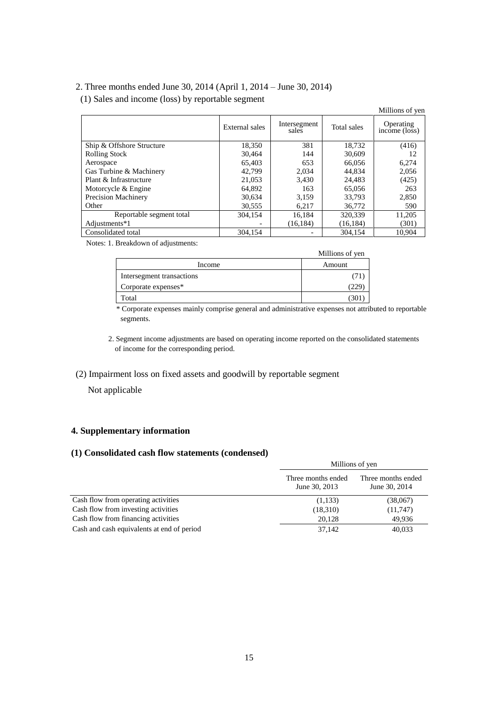## 2. Three months ended June 30, 2014 (April 1, 2014 – June 30, 2014)

(1) Sales and income (loss) by reportable segment

|                            |                |                       |             | Millions of yen            |
|----------------------------|----------------|-----------------------|-------------|----------------------------|
|                            | External sales | Intersegment<br>sales | Total sales | Operating<br>income (loss) |
| Ship & Offshore Structure  | 18,350         | 381                   | 18,732      | (416)                      |
| <b>Rolling Stock</b>       | 30,464         | 144                   | 30,609      | 12                         |
| Aerospace                  | 65.403         | 653                   | 66,056      | 6,274                      |
| Gas Turbine & Machinery    | 42.799         | 2.034                 | 44.834      | 2,056                      |
| Plant & Infrastructure     | 21,053         | 3,430                 | 24.483      | (425)                      |
| Motorcycle & Engine        | 64,892         | 163                   | 65,056      | 263                        |
| <b>Precision Machinery</b> | 30,634         | 3.159                 | 33,793      | 2,850                      |
| Other                      | 30,555         | 6,217                 | 36,772      | 590                        |
| Reportable segment total   | 304.154        | 16.184                | 320,339     | 11,205                     |
| Adjustments*1              |                | (16, 184)             | (16, 184)   | (301)                      |
| Consolidated total         | 304,154        |                       | 304.154     | 10.904                     |

Notes: 1. Breakdown of adjustments:

| $\cdot$                   | Millions of yen |
|---------------------------|-----------------|
| Income                    | Amount          |
| Intersegment transactions |                 |
| Corporate expenses*       | 225             |
| Total                     | 30              |

\* Corporate expenses mainly comprise general and administrative expenses not attributed to reportable segments.

2. Segment income adjustments are based on operating income reported on the consolidated statements of income for the corresponding period.

# (2) Impairment loss on fixed assets and goodwill by reportable segment

Not applicable

# **4. Supplementary information**

### **(1) Consolidated cash flow statements (condensed)**

|                                            | Millions of yen                     |                                     |  |  |
|--------------------------------------------|-------------------------------------|-------------------------------------|--|--|
|                                            | Three months ended<br>June 30, 2013 | Three months ended<br>June 30, 2014 |  |  |
| Cash flow from operating activities        | (1,133)                             | (38,067)                            |  |  |
| Cash flow from investing activities        | (18,310)                            | (11,747)                            |  |  |
| Cash flow from financing activities        | 20.128                              | 49,936                              |  |  |
| Cash and cash equivalents at end of period | 37,142                              | 40,033                              |  |  |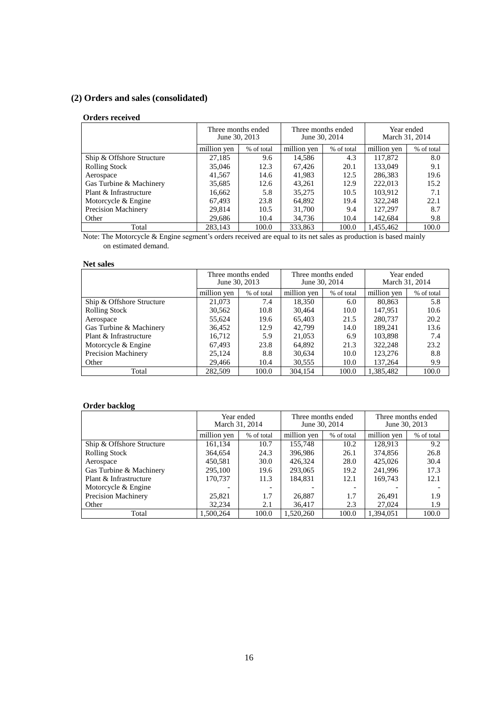# **(2) Orders and sales (consolidated)**

### **Orders received**

|                           |             | Three months ended<br>Three months ended<br>June 30, 2013<br>June 30, 2014 |             |            |             | Year ended<br>March 31, 2014 |
|---------------------------|-------------|----------------------------------------------------------------------------|-------------|------------|-------------|------------------------------|
|                           | million yen | % of total                                                                 | million yen | % of total | million yen | % of total                   |
| Ship & Offshore Structure | 27,185      | 9.6                                                                        | 14,586      | 4.3        | 117,872     | 8.0                          |
| <b>Rolling Stock</b>      | 35,046      | 12.3                                                                       | 67,426      | 20.1       | 133,049     | 9.1                          |
| Aerospace                 | 41,567      | 14.6                                                                       | 41,983      | 12.5       | 286,383     | 19.6                         |
| Gas Turbine & Machinery   | 35,685      | 12.6                                                                       | 43,261      | 12.9       | 222,013     | 15.2                         |
| Plant & Infrastructure    | 16,662      | 5.8                                                                        | 35,275      | 10.5       | 103.912     | 7.1                          |
| Motorcycle & Engine       | 67,493      | 23.8                                                                       | 64,892      | 19.4       | 322,248     | 22.1                         |
| Precision Machinery       | 29.814      | 10.5                                                                       | 31,700      | 9.4        | 127.297     | 8.7                          |
| Other                     | 29,686      | 10.4                                                                       | 34,736      | 10.4       | 142,684     | 9.8                          |
| Total                     | 283.143     | 100.0                                                                      | 333,863     | 100.0      | 1.455.462   | 100.0                        |

Note: The Motorcycle & Engine segment's orders received are equal to its net sales as production is based mainly on estimated demand.

## **Net sales**

|                           | Three months ended<br>June 30, 2013 |            | Three months ended<br>June 30, 2014 |            | Year ended<br>March 31, 2014 |            |
|---------------------------|-------------------------------------|------------|-------------------------------------|------------|------------------------------|------------|
|                           | million yen                         | % of total | million yen                         | % of total | million ven                  | % of total |
| Ship & Offshore Structure | 21,073                              | 7.4        | 18,350                              | 6.0        | 80,863                       | 5.8        |
| <b>Rolling Stock</b>      | 30,562                              | 10.8       | 30,464                              | 10.0       | 147.951                      | 10.6       |
| Aerospace                 | 55,624                              | 19.6       | 65.403                              | 21.5       | 280,737                      | 20.2       |
| Gas Turbine & Machinery   | 36,452                              | 12.9       | 42.799                              | 14.0       | 189.241                      | 13.6       |
| Plant & Infrastructure    | 16.712                              | 5.9        | 21,053                              | 6.9        | 103,898                      | 7.4        |
| Motorcycle & Engine       | 67,493                              | 23.8       | 64,892                              | 21.3       | 322,248                      | 23.2       |
| Precision Machinery       | 25.124                              | 8.8        | 30,634                              | 10.0       | 123,276                      | 8.8        |
| Other                     | 29.466                              | 10.4       | 30,555                              | 10.0       | 137.264                      | 9.9        |
| Total                     | 282,509                             | 100.0      | 304.154                             | 100.0      | 1.385.482                    | 100.0      |

## **Order backlog**

|                           | Year ended<br>March 31, 2014 |            | Three months ended<br>June 30, 2014 |            | Three months ended<br>June 30, 2013 |            |
|---------------------------|------------------------------|------------|-------------------------------------|------------|-------------------------------------|------------|
|                           | million ven                  | % of total | million yen                         | % of total | million yen                         | % of total |
| Ship & Offshore Structure | 161,134                      | 10.7       | 155.748                             | 10.2       | 128.913                             | 9.2        |
| <b>Rolling Stock</b>      | 364.654                      | 24.3       | 396.986                             | 26.1       | 374,856                             | 26.8       |
| Aerospace                 | 450,581                      | 30.0       | 426.324                             | 28.0       | 425,026                             | 30.4       |
| Gas Turbine & Machinery   | 295,100                      | 19.6       | 293,065                             | 19.2       | 241.996                             | 17.3       |
| Plant & Infrastructure    | 170.737                      | 11.3       | 184.831                             | 12.1       | 169.743                             | 12.1       |
| Motorcycle & Engine       |                              | -          |                                     |            |                                     |            |
| Precision Machinery       | 25,821                       | 1.7        | 26,887                              | 1.7        | 26.491                              | 1.9        |
| Other                     | 32.234                       | 2.1        | 36,417                              | 2.3        | 27,024                              | 1.9        |
| Total                     | 1.500.264                    | 100.0      | 1.520.260                           | 100.0      | 1.394.051                           | 100.0      |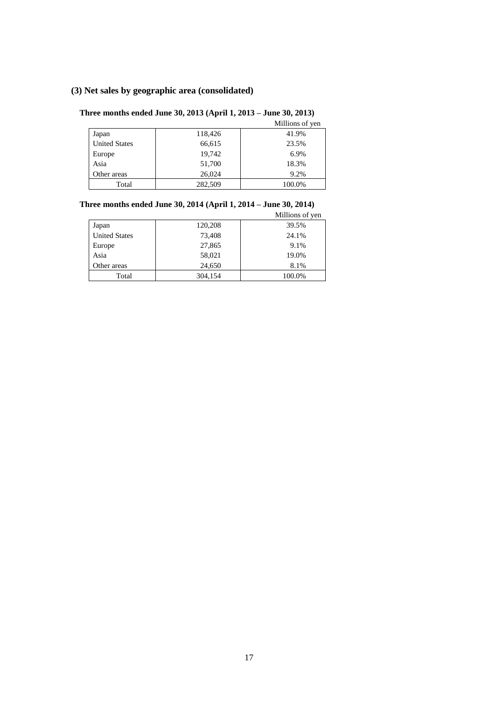# **(3) Net sales by geographic area (consolidated)**

## **Three months ended June 30, 2013 (April 1, 2013 – June 30, 2013)**

|                      |         | Millions of yen |
|----------------------|---------|-----------------|
| Japan                | 118,426 | 41.9%           |
| <b>United States</b> | 66,615  | 23.5%           |
| Europe               | 19,742  | 6.9%            |
| Asia                 | 51,700  | 18.3%           |
| Other areas          | 26,024  | 9.2%            |
| Total                | 282,509 | 100.0%          |

## **Three months ended June 30, 2014 (April 1, 2014 – June 30, 2014)**

Millions of yen

|                      |         | <b>MILITORS</b> OF YOU |
|----------------------|---------|------------------------|
| Japan                | 120,208 | 39.5%                  |
| <b>United States</b> | 73,408  | 24.1%                  |
| Europe               | 27,865  | 9.1%                   |
| Asia                 | 58,021  | 19.0%                  |
| Other areas          | 24,650  | 8.1%                   |
| Total                | 304,154 | 100.0%                 |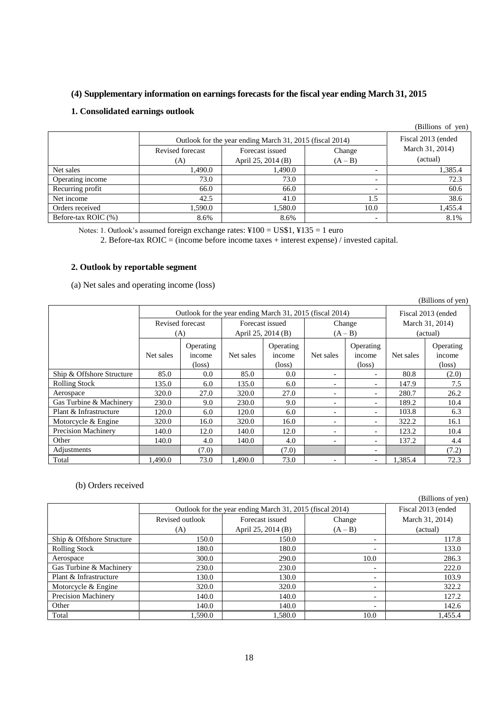## **(4) Supplementary information on earnings forecasts for the fiscal year ending March 31, 2015**

## **1. Consolidated earnings outlook**

|                     |                                                          |                    |                          | (Billions of yen) |  |
|---------------------|----------------------------------------------------------|--------------------|--------------------------|-------------------|--|
|                     | Outlook for the year ending March 31, 2015 (fiscal 2014) | Fiscal 2013 (ended |                          |                   |  |
|                     | Revised forecast                                         | Forecast issued    | Change                   | March 31, 2014)   |  |
|                     | (A)                                                      | April 25, 2014 (B) | $(A - B)$                | (actual)          |  |
| Net sales           | 1,490.0                                                  | 1,490.0            | $\overline{\phantom{0}}$ | 1,385.4           |  |
| Operating income    | 73.0                                                     | 73.0               | $\overline{\phantom{0}}$ | 72.3              |  |
| Recurring profit    | 66.0                                                     | 66.0               | $\overline{\phantom{a}}$ | 60.6              |  |
| Net income          | 42.5                                                     | 41.0               | 1.5                      | 38.6              |  |
| Orders received     | 1,590.0                                                  | 1,580.0            | 10.0                     | 1,455.4           |  |
| Before-tax ROIC (%) | 8.6%                                                     | 8.6%               | $\overline{\phantom{0}}$ | 8.1%              |  |

Notes: 1. Outlook's assumed foreign exchange rates: ¥100 = US\$1, ¥135 = 1 euro

2. Before-tax ROIC = (income before income taxes + interest expense) / invested capital.

## **2. Outlook by reportable segment**

(a) Net sales and operating income (loss)

|                            |                  |                                                          |                    |           |                          |                          |                    | (Billions of yen) |
|----------------------------|------------------|----------------------------------------------------------|--------------------|-----------|--------------------------|--------------------------|--------------------|-------------------|
|                            |                  | Outlook for the year ending March 31, 2015 (fiscal 2014) |                    |           |                          |                          | Fiscal 2013 (ended |                   |
|                            | Revised forecast |                                                          | Forecast issued    |           | Change                   |                          | March 31, 2014)    |                   |
|                            | (A)              |                                                          | April 25, 2014 (B) |           | $(A - B)$                |                          | (actual)           |                   |
|                            |                  | Operating                                                |                    | Operating |                          | Operating                |                    | Operating         |
|                            | Net sales        | income                                                   | Net sales          | income    | Net sales                | income                   | Net sales          | income            |
|                            |                  | $(\text{loss})$                                          |                    | (loss)    |                          | (loss)                   |                    | $(\text{loss})$   |
| Ship & Offshore Structure  | 85.0             | 0.0                                                      | 85.0               | 0.0       |                          | $\overline{\phantom{a}}$ | 80.8               | (2.0)             |
| <b>Rolling Stock</b>       | 135.0            | 6.0                                                      | 135.0              | 6.0       |                          | $\overline{\phantom{0}}$ | 147.9              | 7.5               |
| Aerospace                  | 320.0            | 27.0                                                     | 320.0              | 27.0      |                          | $\overline{\phantom{0}}$ | 280.7              | 26.2              |
| Gas Turbine & Machinery    | 230.0            | 9.0                                                      | 230.0              | 9.0       |                          | $\overline{\phantom{0}}$ | 189.2              | 10.4              |
| Plant & Infrastructure     | 120.0            | 6.0                                                      | 120.0              | 6.0       | $\overline{\phantom{0}}$ | $\overline{\phantom{0}}$ | 103.8              | 6.3               |
| Motorcycle & Engine        | 320.0            | 16.0                                                     | 320.0              | 16.0      | $\overline{\phantom{0}}$ | $\overline{\phantom{0}}$ | 322.2              | 16.1              |
| <b>Precision Machinery</b> | 140.0            | 12.0                                                     | 140.0              | 12.0      | $\overline{\phantom{0}}$ | $\overline{\phantom{0}}$ | 123.2              | 10.4              |
| Other                      | 140.0            | 4.0                                                      | 140.0              | 4.0       | $\overline{\phantom{0}}$ | $\overline{\phantom{0}}$ | 137.2              | 4.4               |
| Adjustments                |                  | (7.0)                                                    |                    | (7.0)     |                          | $\overline{\phantom{a}}$ |                    | (7.2)             |
| Total                      | 1.490.0          | 73.0                                                     | 1.490.0            | 73.0      |                          | $\overline{\phantom{a}}$ | 1.385.4            | 72.3              |

## (b) Orders received

|                            |                                                          |                    |                          | (Billions of yen) |
|----------------------------|----------------------------------------------------------|--------------------|--------------------------|-------------------|
|                            | Outlook for the year ending March 31, 2015 (fiscal 2014) | Fiscal 2013 (ended |                          |                   |
|                            | Revised outlook                                          | Forecast issued    | Change                   | March 31, 2014)   |
|                            | (A)                                                      | April 25, 2014 (B) | $(A - B)$                | (actual)          |
| Ship & Offshore Structure  | 150.0                                                    | 150.0              | $\overline{\phantom{0}}$ | 117.8             |
| <b>Rolling Stock</b>       | 180.0                                                    | 180.0              | -                        | 133.0             |
| Aerospace                  | 300.0                                                    | 290.0              | 10.0                     | 286.3             |
| Gas Turbine & Machinery    | 230.0                                                    | 230.0              | $\overline{\phantom{a}}$ | 222.0             |
| Plant & Infrastructure     | 130.0                                                    | 130.0              | $\overline{\phantom{0}}$ | 103.9             |
| Motorcycle & Engine        | 320.0                                                    | 320.0              | $\overline{\phantom{0}}$ | 322.2             |
| <b>Precision Machinery</b> | 140.0                                                    | 140.0              | $\overline{\phantom{0}}$ | 127.2             |
| Other                      | 140.0                                                    | 140.0              | $\overline{\phantom{0}}$ | 142.6             |
| Total                      | 1.590.0                                                  | 1.580.0            | 10.0                     | 1.455.4           |